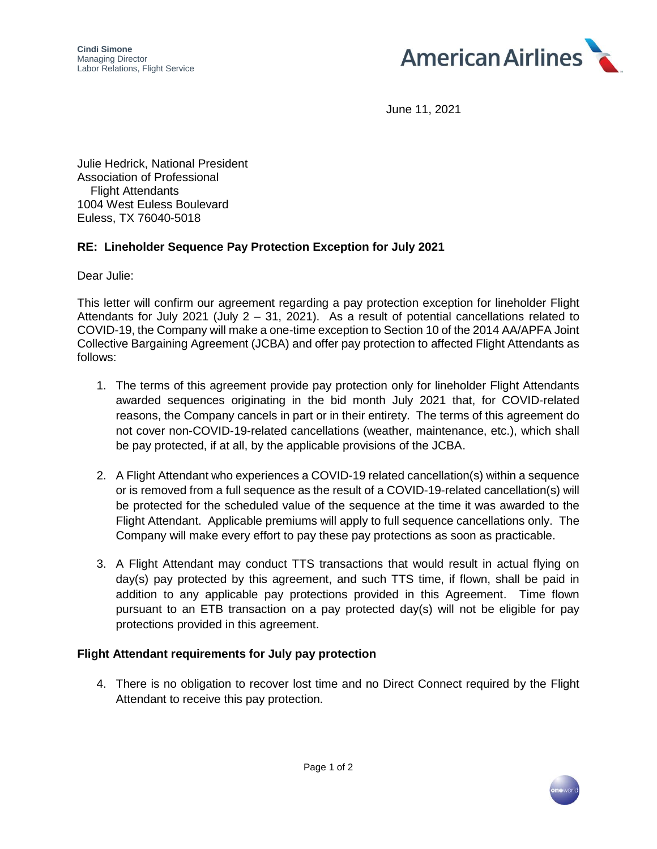

June 11, 2021

Julie Hedrick, National President Association of Professional Flight Attendants 1004 West Euless Boulevard Euless, TX 76040-5018

## **RE: Lineholder Sequence Pay Protection Exception for July 2021**

Dear Julie:

This letter will confirm our agreement regarding a pay protection exception for lineholder Flight Attendants for July 2021 (July 2 – 31, 2021). As a result of potential cancellations related to COVID-19, the Company will make a one-time exception to Section 10 of the 2014 AA/APFA Joint Collective Bargaining Agreement (JCBA) and offer pay protection to affected Flight Attendants as follows:

- 1. The terms of this agreement provide pay protection only for lineholder Flight Attendants awarded sequences originating in the bid month July 2021 that, for COVID-related reasons, the Company cancels in part or in their entirety. The terms of this agreement do not cover non-COVID-19-related cancellations (weather, maintenance, etc.), which shall be pay protected, if at all, by the applicable provisions of the JCBA.
- 2. A Flight Attendant who experiences a COVID-19 related cancellation(s) within a sequence or is removed from a full sequence as the result of a COVID-19-related cancellation(s) will be protected for the scheduled value of the sequence at the time it was awarded to the Flight Attendant. Applicable premiums will apply to full sequence cancellations only. The Company will make every effort to pay these pay protections as soon as practicable.
- 3. A Flight Attendant may conduct TTS transactions that would result in actual flying on day(s) pay protected by this agreement, and such TTS time, if flown, shall be paid in addition to any applicable pay protections provided in this Agreement. Time flown pursuant to an ETB transaction on a pay protected day(s) will not be eligible for pay protections provided in this agreement.

## **Flight Attendant requirements for July pay protection**

4. There is no obligation to recover lost time and no Direct Connect required by the Flight Attendant to receive this pay protection.